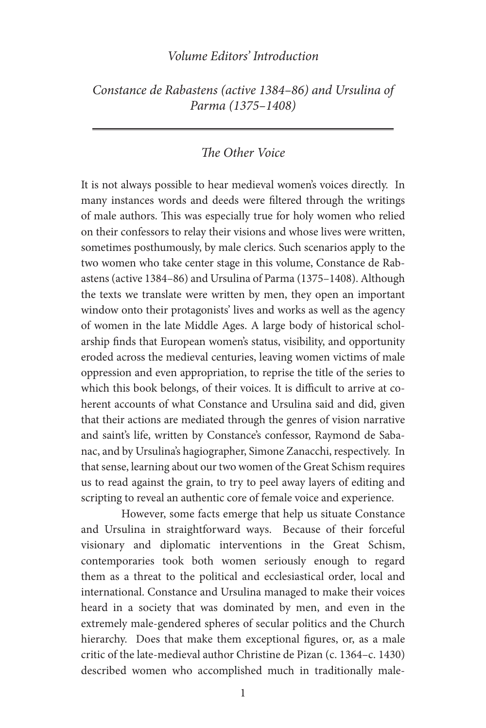## *Volume Editors' Introduction*

*Constance de Rabastens (active 1384–86) and Ursulina of Parma (1375–1408)*

# *The Other Voice*

It is not always possible to hear medieval women's voices directly. In many instances words and deeds were filtered through the writings of male authors. This was especially true for holy women who relied on their confessors to relay their visions and whose lives were written, sometimes posthumously, by male clerics. Such scenarios apply to the two women who take center stage in this volume, Constance de Rabastens (active 1384–86) and Ursulina of Parma (1375–1408). Although the texts we translate were written by men, they open an important window onto their protagonists' lives and works as well as the agency of women in the late Middle Ages. A large body of historical scholarship finds that European women's status, visibility, and opportunity eroded across the medieval centuries, leaving women victims of male oppression and even appropriation, to reprise the title of the series to which this book belongs, of their voices. It is difficult to arrive at coherent accounts of what Constance and Ursulina said and did, given that their actions are mediated through the genres of vision narrative and saint's life, written by Constance's confessor, Raymond de Sabanac, and by Ursulina's hagiographer, Simone Zanacchi, respectively. In that sense, learning about our two women of the Great Schism requires us to read against the grain, to try to peel away layers of editing and scripting to reveal an authentic core of female voice and experience.

However, some facts emerge that help us situate Constance and Ursulina in straightforward ways. Because of their forceful visionary and diplomatic interventions in the Great Schism, contemporaries took both women seriously enough to regard them as a threat to the political and ecclesiastical order, local and international. Constance and Ursulina managed to make their voices heard in a society that was dominated by men, and even in the extremely male-gendered spheres of secular politics and the Church hierarchy. Does that make them exceptional figures, or, as a male critic of the late-medieval author Christine de Pizan (c. 1364–c. 1430) described women who accomplished much in traditionally male-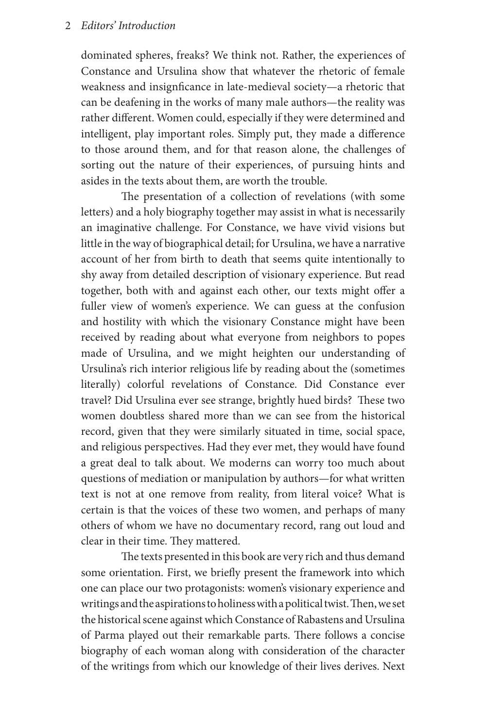#### 2 *Editors' Introduction*

dominated spheres, freaks? We think not. Rather, the experiences of Constance and Ursulina show that whatever the rhetoric of female weakness and insignficance in late-medieval society—a rhetoric that can be deafening in the works of many male authors—the reality was rather different. Women could, especially if they were determined and intelligent, play important roles. Simply put, they made a difference to those around them, and for that reason alone, the challenges of sorting out the nature of their experiences, of pursuing hints and asides in the texts about them, are worth the trouble.

The presentation of a collection of revelations (with some letters) and a holy biography together may assist in what is necessarily an imaginative challenge. For Constance, we have vivid visions but little in the way of biographical detail; for Ursulina, we have a narrative account of her from birth to death that seems quite intentionally to shy away from detailed description of visionary experience. But read together, both with and against each other, our texts might offer a fuller view of women's experience. We can guess at the confusion and hostility with which the visionary Constance might have been received by reading about what everyone from neighbors to popes made of Ursulina, and we might heighten our understanding of Ursulina's rich interior religious life by reading about the (sometimes literally) colorful revelations of Constance. Did Constance ever travel? Did Ursulina ever see strange, brightly hued birds? These two women doubtless shared more than we can see from the historical record, given that they were similarly situated in time, social space, and religious perspectives. Had they ever met, they would have found a great deal to talk about. We moderns can worry too much about questions of mediation or manipulation by authors—for what written text is not at one remove from reality, from literal voice? What is certain is that the voices of these two women, and perhaps of many others of whom we have no documentary record, rang out loud and clear in their time. They mattered.

The texts presented in this book are very rich and thus demand some orientation. First, we briefly present the framework into which one can place our two protagonists: women's visionary experience and writings and the aspirations to holiness with a political twist. Then, we set the historical scene against which Constance of Rabastens and Ursulina of Parma played out their remarkable parts. There follows a concise biography of each woman along with consideration of the character of the writings from which our knowledge of their lives derives. Next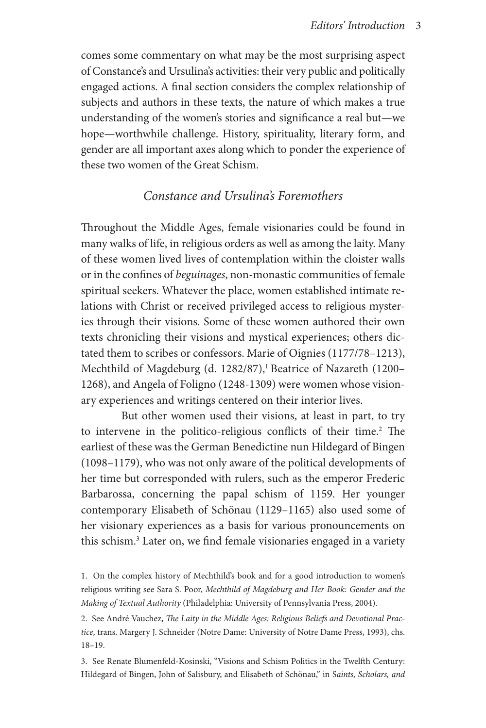comes some commentary on what may be the most surprising aspect of Constance's and Ursulina's activities: their very public and politically engaged actions. A final section considers the complex relationship of subjects and authors in these texts, the nature of which makes a true understanding of the women's stories and significance a real but—we hope—worthwhile challenge. History, spirituality, literary form, and gender are all important axes along which to ponder the experience of these two women of the Great Schism.

# *Constance and Ursulina's Foremothers*

Throughout the Middle Ages, female visionaries could be found in many walks of life, in religious orders as well as among the laity. Many of these women lived lives of contemplation within the cloister walls or in the confines of *beguinages*, non-monastic communities of female spiritual seekers. Whatever the place, women established intimate relations with Christ or received privileged access to religious mysteries through their visions. Some of these women authored their own texts chronicling their visions and mystical experiences; others dictated them to scribes or confessors. Marie of Oignies (1177/78–1213), Mechthild of Magdeburg (d. 1282/87),<sup>1</sup> Beatrice of Nazareth (1200– 1268), and Angela of Foligno (1248-1309) were women whose visionary experiences and writings centered on their interior lives.

But other women used their visions, at least in part, to try to intervene in the politico-religious conflicts of their time.<sup>2</sup> The earliest of these was the German Benedictine nun Hildegard of Bingen (1098–1179), who was not only aware of the political developments of her time but corresponded with rulers, such as the emperor Frederic Barbarossa, concerning the papal schism of 1159. Her younger contemporary Elisabeth of Schönau (1129–1165) also used some of her visionary experiences as a basis for various pronouncements on this schism.3 Later on, we find female visionaries engaged in a variety

2. See André Vauchez, *The Laity in the Middle Ages: Religious Beliefs and Devotional Practice*, trans. Margery J. Schneider (Notre Dame: University of Notre Dame Press, 1993), chs. 18–19.

3. See Renate Blumenfeld-Kosinski, "Visions and Schism Politics in the Twelfth Century: Hildegard of Bingen, John of Salisbury, and Elisabeth of Schönau," in S*aints, Scholars, and* 

<sup>1.</sup> On the complex history of Mechthild's book and for a good introduction to women's religious writing see Sara S. Poor, *Mechthild of Magdeburg and Her Book: Gender and the Making of Textual Authority* (Philadelphia: University of Pennsylvania Press, 2004).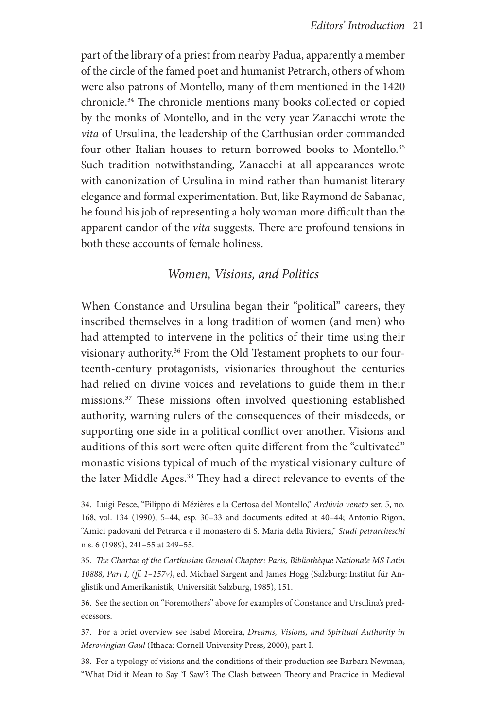part of the library of a priest from nearby Padua, apparently a member of the circle of the famed poet and humanist Petrarch, others of whom were also patrons of Montello, many of them mentioned in the 1420 chronicle.34 The chronicle mentions many books collected or copied by the monks of Montello, and in the very year Zanacchi wrote the *vita* of Ursulina, the leadership of the Carthusian order commanded four other Italian houses to return borrowed books to Montello.<sup>35</sup> Such tradition notwithstanding, Zanacchi at all appearances wrote with canonization of Ursulina in mind rather than humanist literary elegance and formal experimentation. But, like Raymond de Sabanac, he found his job of representing a holy woman more difficult than the apparent candor of the *vita* suggests. There are profound tensions in both these accounts of female holiness.

# *Women, Visions, and Politics*

When Constance and Ursulina began their "political" careers, they inscribed themselves in a long tradition of women (and men) who had attempted to intervene in the politics of their time using their visionary authority.<sup>36</sup> From the Old Testament prophets to our fourteenth-century protagonists, visionaries throughout the centuries had relied on divine voices and revelations to guide them in their missions.37 These missions often involved questioning established authority, warning rulers of the consequences of their misdeeds, or supporting one side in a political conflict over another. Visions and auditions of this sort were often quite different from the "cultivated" monastic visions typical of much of the mystical visionary culture of the later Middle Ages.<sup>38</sup> They had a direct relevance to events of the

34. Luigi Pesce, "Filippo di Mézières e la Certosa del Montello," *Archivio veneto* ser. 5, no. 168, vol. 134 (1990), 5–44, esp. 30–33 and documents edited at 40–44; Antonio Rigon, "Amici padovani del Petrarca e il monastero di S. Maria della Riviera," *Studi petrarcheschi*  n.s. 6 (1989), 241–55 at 249–55.

35. *The Chartae of the Carthusian General Chapter: Paris, Bibliothèque Nationale MS Latin 10888, Part I, (ff. 1–157v)*, ed. Michael Sargent and James Hogg (Salzburg: Institut für Anglistik und Amerikanistik, Universität Salzburg, 1985), 151.

36. See the section on "Foremothers" above for examples of Constance and Ursulina's predecessors.

37. For a brief overview see Isabel Moreira, *Dreams, Visions, and Spiritual Authority in Merovingian Gaul* (Ithaca: Cornell University Press, 2000), part I.

38. For a typology of visions and the conditions of their production see Barbara Newman, "What Did it Mean to Say 'I Saw'? The Clash between Theory and Practice in Medieval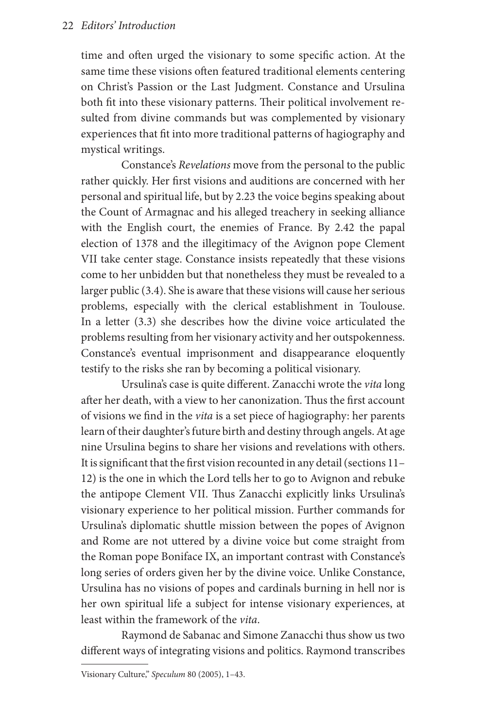time and often urged the visionary to some specific action. At the same time these visions often featured traditional elements centering on Christ's Passion or the Last Judgment. Constance and Ursulina both fit into these visionary patterns. Their political involvement resulted from divine commands but was complemented by visionary experiences that fit into more traditional patterns of hagiography and mystical writings.

Constance's *Revelations* move from the personal to the public rather quickly. Her first visions and auditions are concerned with her personal and spiritual life, but by 2.23 the voice begins speaking about the Count of Armagnac and his alleged treachery in seeking alliance with the English court, the enemies of France. By 2.42 the papal election of 1378 and the illegitimacy of the Avignon pope Clement VII take center stage. Constance insists repeatedly that these visions come to her unbidden but that nonetheless they must be revealed to a larger public (3.4). She is aware that these visions will cause her serious problems, especially with the clerical establishment in Toulouse. In a letter (3.3) she describes how the divine voice articulated the problems resulting from her visionary activity and her outspokenness. Constance's eventual imprisonment and disappearance eloquently testify to the risks she ran by becoming a political visionary.

Ursulina's case is quite different. Zanacchi wrote the *vita* long after her death, with a view to her canonization. Thus the first account of visions we find in the *vita* is a set piece of hagiography: her parents learn of their daughter's future birth and destiny through angels. At age nine Ursulina begins to share her visions and revelations with others. It is significant that the first vision recounted in any detail (sections 11– 12) is the one in which the Lord tells her to go to Avignon and rebuke the antipope Clement VII. Thus Zanacchi explicitly links Ursulina's visionary experience to her political mission. Further commands for Ursulina's diplomatic shuttle mission between the popes of Avignon and Rome are not uttered by a divine voice but come straight from the Roman pope Boniface IX, an important contrast with Constance's long series of orders given her by the divine voice. Unlike Constance, Ursulina has no visions of popes and cardinals burning in hell nor is her own spiritual life a subject for intense visionary experiences, at least within the framework of the *vita*.

Raymond de Sabanac and Simone Zanacchi thus show us two different ways of integrating visions and politics. Raymond transcribes

Visionary Culture," *Speculum* 80 (2005), 1–43.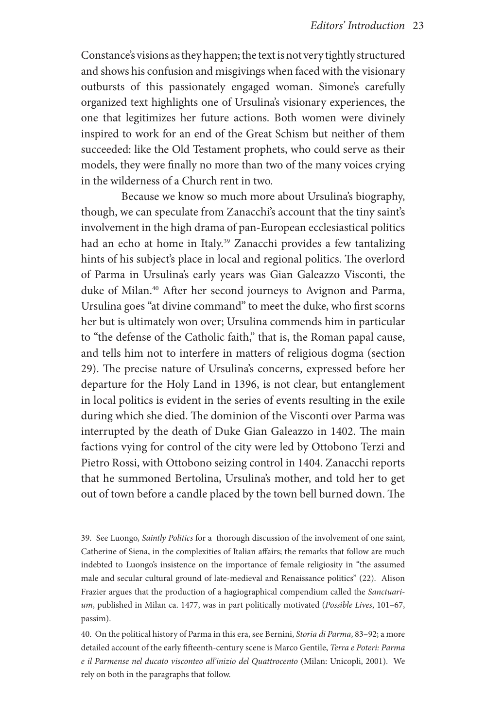Constance's visions as they happen; the text is not very tightly structured and shows his confusion and misgivings when faced with the visionary outbursts of this passionately engaged woman. Simone's carefully organized text highlights one of Ursulina's visionary experiences, the one that legitimizes her future actions. Both women were divinely inspired to work for an end of the Great Schism but neither of them succeeded: like the Old Testament prophets, who could serve as their models, they were finally no more than two of the many voices crying in the wilderness of a Church rent in two.

Because we know so much more about Ursulina's biography, though, we can speculate from Zanacchi's account that the tiny saint's involvement in the high drama of pan-European ecclesiastical politics had an echo at home in Italy.<sup>39</sup> Zanacchi provides a few tantalizing hints of his subject's place in local and regional politics. The overlord of Parma in Ursulina's early years was Gian Galeazzo Visconti, the duke of Milan.<sup>40</sup> After her second journeys to Avignon and Parma, Ursulina goes "at divine command" to meet the duke, who first scorns her but is ultimately won over; Ursulina commends him in particular to "the defense of the Catholic faith," that is, the Roman papal cause, and tells him not to interfere in matters of religious dogma (section 29). The precise nature of Ursulina's concerns, expressed before her departure for the Holy Land in 1396, is not clear, but entanglement in local politics is evident in the series of events resulting in the exile during which she died. The dominion of the Visconti over Parma was interrupted by the death of Duke Gian Galeazzo in 1402. The main factions vying for control of the city were led by Ottobono Terzi and Pietro Rossi, with Ottobono seizing control in 1404. Zanacchi reports that he summoned Bertolina, Ursulina's mother, and told her to get out of town before a candle placed by the town bell burned down. The

39. See Luongo, *Saintly Politics* for a thorough discussion of the involvement of one saint, Catherine of Siena, in the complexities of Italian affairs; the remarks that follow are much indebted to Luongo's insistence on the importance of female religiosity in "the assumed male and secular cultural ground of late-medieval and Renaissance politics" (22). Alison Frazier argues that the production of a hagiographical compendium called the *Sanctuarium*, published in Milan ca. 1477, was in part politically motivated (*Possible Lives*, 101–67, passim).

40. On the political history of Parma in this era, see Bernini, *Storia di Parma*, 83–92; a more detailed account of the early fifteenth-century scene is Marco Gentile, *Terra e Poteri: Parma e il Parmense nel ducato visconteo all'inizio del Quattrocento* (Milan: Unicopli, 2001). We rely on both in the paragraphs that follow.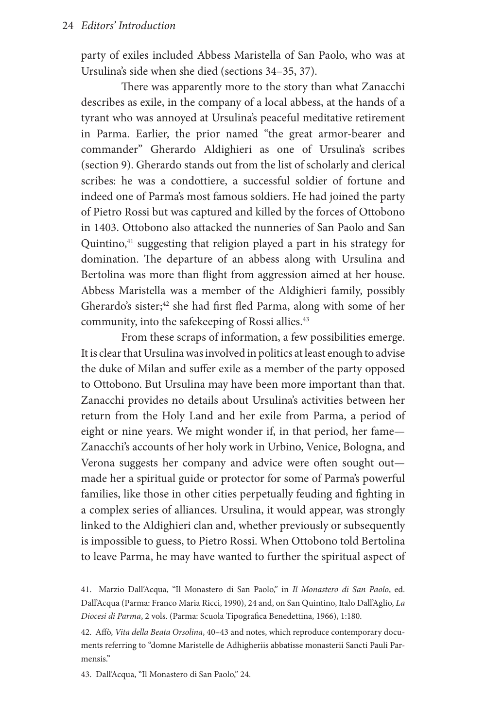party of exiles included Abbess Maristella of San Paolo, who was at Ursulina's side when she died (sections 34–35, 37).

There was apparently more to the story than what Zanacchi describes as exile, in the company of a local abbess, at the hands of a tyrant who was annoyed at Ursulina's peaceful meditative retirement in Parma. Earlier, the prior named "the great armor-bearer and commander" Gherardo Aldighieri as one of Ursulina's scribes (section 9). Gherardo stands out from the list of scholarly and clerical scribes: he was a condottiere, a successful soldier of fortune and indeed one of Parma's most famous soldiers. He had joined the party of Pietro Rossi but was captured and killed by the forces of Ottobono in 1403. Ottobono also attacked the nunneries of San Paolo and San Quintino,<sup>41</sup> suggesting that religion played a part in his strategy for domination. The departure of an abbess along with Ursulina and Bertolina was more than flight from aggression aimed at her house. Abbess Maristella was a member of the Aldighieri family, possibly Gherardo's sister;<sup>42</sup> she had first fled Parma, along with some of her community, into the safekeeping of Rossi allies.<sup>43</sup>

From these scraps of information, a few possibilities emerge. It is clear that Ursulina was involved in politics at least enough to advise the duke of Milan and suffer exile as a member of the party opposed to Ottobono. But Ursulina may have been more important than that. Zanacchi provides no details about Ursulina's activities between her return from the Holy Land and her exile from Parma, a period of eight or nine years. We might wonder if, in that period, her fame— Zanacchi's accounts of her holy work in Urbino, Venice, Bologna, and Verona suggests her company and advice were often sought out made her a spiritual guide or protector for some of Parma's powerful families, like those in other cities perpetually feuding and fighting in a complex series of alliances. Ursulina, it would appear, was strongly linked to the Aldighieri clan and, whether previously or subsequently is impossible to guess, to Pietro Rossi. When Ottobono told Bertolina to leave Parma, he may have wanted to further the spiritual aspect of

43. Dall'Acqua, "Il Monastero di San Paolo," 24.

<sup>41.</sup> Marzio Dall'Acqua, "Il Monastero di San Paolo," in *Il Monastero di San Paolo*, ed. Dall'Acqua (Parma: Franco Maria Ricci, 1990), 24 and, on San Quintino, Italo Dall'Aglio, *La Diocesi di Parma*, 2 vols. (Parma: Scuola Tipografica Benedettina, 1966), 1:180.

<sup>42.</sup> Affò, *Vita della Beata Orsolina*, 40–43 and notes, which reproduce contemporary documents referring to "domne Maristelle de Adhigheriis abbatisse monasterii Sancti Pauli Parmensis"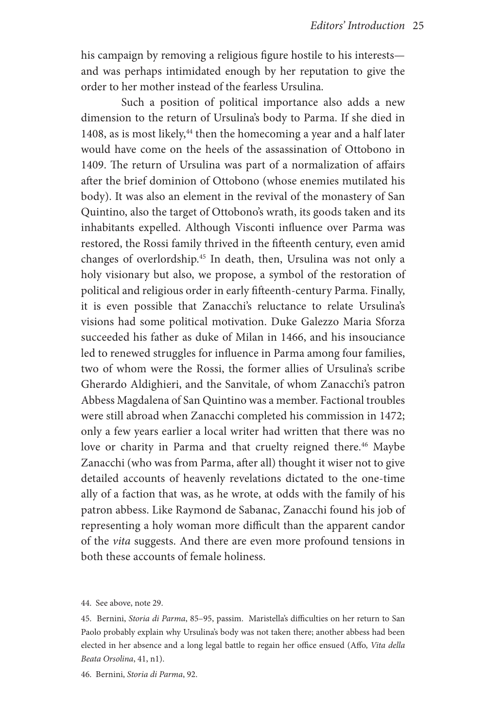his campaign by removing a religious figure hostile to his interests and was perhaps intimidated enough by her reputation to give the order to her mother instead of the fearless Ursulina.

Such a position of political importance also adds a new dimension to the return of Ursulina's body to Parma. If she died in 1408, as is most likely,<sup>44</sup> then the homecoming a year and a half later would have come on the heels of the assassination of Ottobono in 1409. The return of Ursulina was part of a normalization of affairs after the brief dominion of Ottobono (whose enemies mutilated his body). It was also an element in the revival of the monastery of San Quintino, also the target of Ottobono's wrath, its goods taken and its inhabitants expelled. Although Visconti influence over Parma was restored, the Rossi family thrived in the fifteenth century, even amid changes of overlordship.45 In death, then, Ursulina was not only a holy visionary but also, we propose, a symbol of the restoration of political and religious order in early fifteenth-century Parma. Finally, it is even possible that Zanacchi's reluctance to relate Ursulina's visions had some political motivation. Duke Galezzo Maria Sforza succeeded his father as duke of Milan in 1466, and his insouciance led to renewed struggles for influence in Parma among four families, two of whom were the Rossi, the former allies of Ursulina's scribe Gherardo Aldighieri, and the Sanvitale, of whom Zanacchi's patron Abbess Magdalena of San Quintino was a member. Factional troubles were still abroad when Zanacchi completed his commission in 1472; only a few years earlier a local writer had written that there was no love or charity in Parma and that cruelty reigned there.<sup>46</sup> Maybe Zanacchi (who was from Parma, after all) thought it wiser not to give detailed accounts of heavenly revelations dictated to the one-time ally of a faction that was, as he wrote, at odds with the family of his patron abbess. Like Raymond de Sabanac, Zanacchi found his job of representing a holy woman more difficult than the apparent candor of the *vita* suggests. And there are even more profound tensions in both these accounts of female holiness.

44. See above, note 29.

46. Bernini, *Storia di Parma*, 92.

<sup>45.</sup> Bernini, *Storia di Parma*, 85–95, passim. Maristella's difficulties on her return to San Paolo probably explain why Ursulina's body was not taken there; another abbess had been elected in her absence and a long legal battle to regain her office ensued (Affo, *Vita della Beata Orsolina*, 41, n1).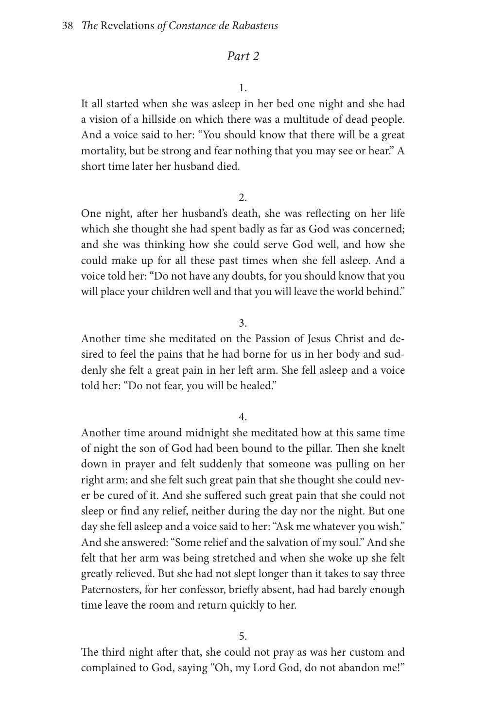## *Part 2*

## 1.

It all started when she was asleep in her bed one night and she had a vision of a hillside on which there was a multitude of dead people. And a voice said to her: "You should know that there will be a great mortality, but be strong and fear nothing that you may see or hear." A short time later her husband died.

## 2.

One night, after her husband's death, she was reflecting on her life which she thought she had spent badly as far as God was concerned; and she was thinking how she could serve God well, and how she could make up for all these past times when she fell asleep. And a voice told her: "Do not have any doubts, for you should know that you will place your children well and that you will leave the world behind."

## 3.

Another time she meditated on the Passion of Jesus Christ and desired to feel the pains that he had borne for us in her body and suddenly she felt a great pain in her left arm. She fell asleep and a voice told her: "Do not fear, you will be healed."

## 4.

Another time around midnight she meditated how at this same time of night the son of God had been bound to the pillar. Then she knelt down in prayer and felt suddenly that someone was pulling on her right arm; and she felt such great pain that she thought she could never be cured of it. And she suffered such great pain that she could not sleep or find any relief, neither during the day nor the night. But one day she fell asleep and a voice said to her: "Ask me whatever you wish." And she answered: "Some relief and the salvation of my soul." And she felt that her arm was being stretched and when she woke up she felt greatly relieved. But she had not slept longer than it takes to say three Paternosters, for her confessor, briefly absent, had had barely enough time leave the room and return quickly to her.

## 5.

The third night after that, she could not pray as was her custom and complained to God, saying "Oh, my Lord God, do not abandon me!"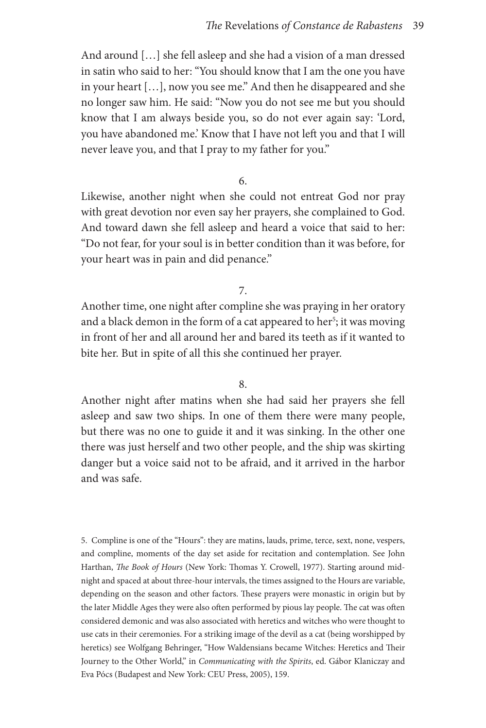And around […] she fell asleep and she had a vision of a man dressed in satin who said to her: "You should know that I am the one you have in your heart […], now you see me." And then he disappeared and she no longer saw him. He said: "Now you do not see me but you should know that I am always beside you, so do not ever again say: 'Lord, you have abandoned me.' Know that I have not left you and that I will never leave you, and that I pray to my father for you."

6.

Likewise, another night when she could not entreat God nor pray with great devotion nor even say her prayers, she complained to God. And toward dawn she fell asleep and heard a voice that said to her: "Do not fear, for your soul is in better condition than it was before, for your heart was in pain and did penance."

7.

Another time, one night after compline she was praying in her oratory and a black demon in the form of a cat appeared to her<sup>5</sup>; it was moving in front of her and all around her and bared its teeth as if it wanted to bite her. But in spite of all this she continued her prayer.

#### 8.

Another night after matins when she had said her prayers she fell asleep and saw two ships. In one of them there were many people, but there was no one to guide it and it was sinking. In the other one there was just herself and two other people, and the ship was skirting danger but a voice said not to be afraid, and it arrived in the harbor and was safe.

5. Compline is one of the "Hours": they are matins, lauds, prime, terce, sext, none, vespers, and compline, moments of the day set aside for recitation and contemplation. See John Harthan, *The Book of Hours* (New York: Thomas Y. Crowell, 1977). Starting around midnight and spaced at about three-hour intervals, the times assigned to the Hours are variable, depending on the season and other factors. These prayers were monastic in origin but by the later Middle Ages they were also often performed by pious lay people. The cat was often considered demonic and was also associated with heretics and witches who were thought to use cats in their ceremonies. For a striking image of the devil as a cat (being worshipped by heretics) see Wolfgang Behringer, "How Waldensians became Witches: Heretics and Their Journey to the Other World," in *Communicating with the Spirits*, ed. Gábor Klaniczay and Eva Pócs (Budapest and New York: CEU Press, 2005), 159.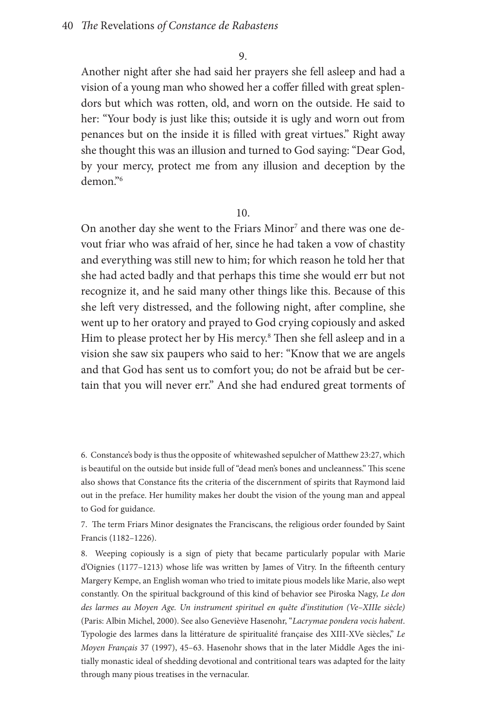#### 9.

Another night after she had said her prayers she fell asleep and had a vision of a young man who showed her a coffer filled with great splendors but which was rotten, old, and worn on the outside. He said to her: "Your body is just like this; outside it is ugly and worn out from penances but on the inside it is filled with great virtues." Right away she thought this was an illusion and turned to God saying: "Dear God, by your mercy, protect me from any illusion and deception by the demon."6

10.

On another day she went to the Friars Minor<sup>7</sup> and there was one devout friar who was afraid of her, since he had taken a vow of chastity and everything was still new to him; for which reason he told her that she had acted badly and that perhaps this time she would err but not recognize it, and he said many other things like this. Because of this she left very distressed, and the following night, after compline, she went up to her oratory and prayed to God crying copiously and asked Him to please protect her by His mercy.<sup>8</sup> Then she fell asleep and in a vision she saw six paupers who said to her: "Know that we are angels and that God has sent us to comfort you; do not be afraid but be certain that you will never err." And she had endured great torments of

6. Constance's body is thus the opposite of whitewashed sepulcher of Matthew 23:27, which is beautiful on the outside but inside full of "dead men's bones and uncleanness." This scene also shows that Constance fits the criteria of the discernment of spirits that Raymond laid out in the preface. Her humility makes her doubt the vision of the young man and appeal to God for guidance.

7. The term Friars Minor designates the Franciscans, the religious order founded by Saint Francis (1182–1226).

8. Weeping copiously is a sign of piety that became particularly popular with Marie d'Oignies (1177–1213) whose life was written by James of Vitry. In the fifteenth century Margery Kempe, an English woman who tried to imitate pious models like Marie, also wept constantly. On the spiritual background of this kind of behavior see Piroska Nagy, *Le don des larmes au Moyen Age. Un instrument spirituel en quête d'institution (Ve–XIIIe siècle)*  (Paris: Albin Michel, 2000). See also Geneviève Hasenohr, "*Lacrymae pondera vocis habent*. Typologie des larmes dans la littérature de spiritualité française des XIII-XVe siècles," *Le Moyen Français* 37 (1997), 45–63. Hasenohr shows that in the later Middle Ages the initially monastic ideal of shedding devotional and contritional tears was adapted for the laity through many pious treatises in the vernacular.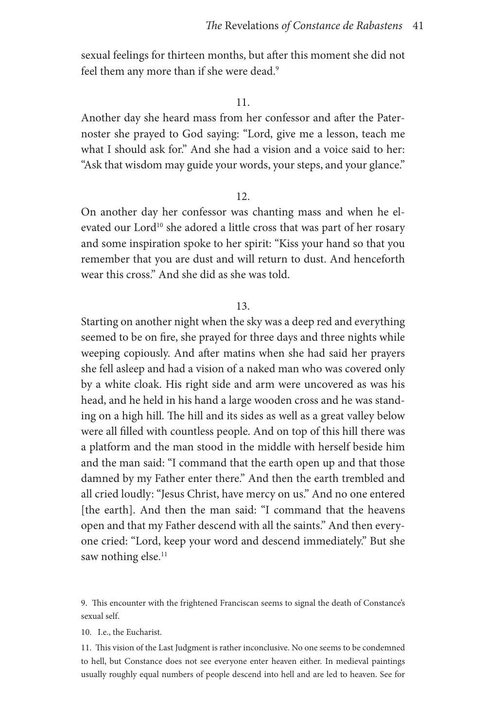sexual feelings for thirteen months, but after this moment she did not feel them any more than if she were dead.<sup>9</sup>

#### 11.

Another day she heard mass from her confessor and after the Paternoster she prayed to God saying: "Lord, give me a lesson, teach me what I should ask for." And she had a vision and a voice said to her: "Ask that wisdom may guide your words, your steps, and your glance."

#### 12.

On another day her confessor was chanting mass and when he elevated our Lord<sup>10</sup> she adored a little cross that was part of her rosary and some inspiration spoke to her spirit: "Kiss your hand so that you remember that you are dust and will return to dust. And henceforth wear this cross" And she did as she was told.

13.

Starting on another night when the sky was a deep red and everything seemed to be on fire, she prayed for three days and three nights while weeping copiously. And after matins when she had said her prayers she fell asleep and had a vision of a naked man who was covered only by a white cloak. His right side and arm were uncovered as was his head, and he held in his hand a large wooden cross and he was standing on a high hill. The hill and its sides as well as a great valley below were all filled with countless people. And on top of this hill there was a platform and the man stood in the middle with herself beside him and the man said: "I command that the earth open up and that those damned by my Father enter there." And then the earth trembled and all cried loudly: "Jesus Christ, have mercy on us." And no one entered [the earth]. And then the man said: "I command that the heavens open and that my Father descend with all the saints." And then everyone cried: "Lord, keep your word and descend immediately." But she saw nothing else.<sup>11</sup>

9. This encounter with the frightened Franciscan seems to signal the death of Constance's sexual self.

10. I.e., the Eucharist.

11. This vision of the Last Judgment is rather inconclusive. No one seems to be condemned to hell, but Constance does not see everyone enter heaven either. In medieval paintings usually roughly equal numbers of people descend into hell and are led to heaven. See for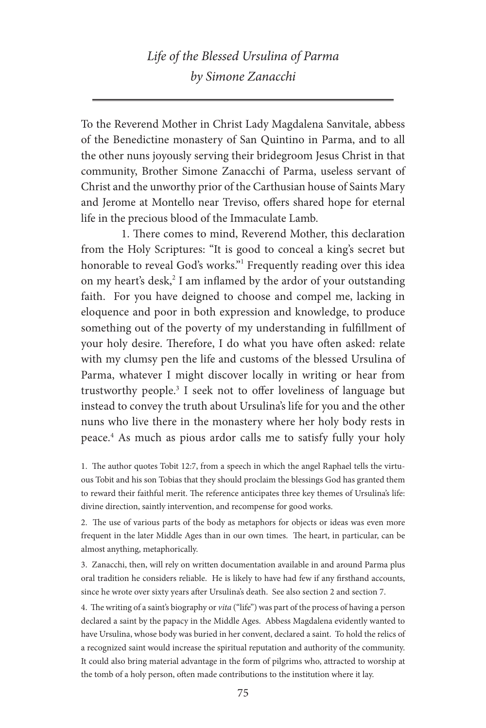# *Life of the Blessed Ursulina of Parma by Simone Zanacchi*

To the Reverend Mother in Christ Lady Magdalena Sanvitale, abbess of the Benedictine monastery of San Quintino in Parma, and to all the other nuns joyously serving their bridegroom Jesus Christ in that community, Brother Simone Zanacchi of Parma, useless servant of Christ and the unworthy prior of the Carthusian house of Saints Mary and Jerome at Montello near Treviso, offers shared hope for eternal life in the precious blood of the Immaculate Lamb.

1. There comes to mind, Reverend Mother, this declaration from the Holy Scriptures: "It is good to conceal a king's secret but honorable to reveal God's works."<sup>1</sup> Frequently reading over this idea on my heart's desk, $2$  I am inflamed by the ardor of your outstanding faith. For you have deigned to choose and compel me, lacking in eloquence and poor in both expression and knowledge, to produce something out of the poverty of my understanding in fulfillment of your holy desire. Therefore, I do what you have often asked: relate with my clumsy pen the life and customs of the blessed Ursulina of Parma, whatever I might discover locally in writing or hear from trustworthy people.<sup>3</sup> I seek not to offer loveliness of language but instead to convey the truth about Ursulina's life for you and the other nuns who live there in the monastery where her holy body rests in peace.4 As much as pious ardor calls me to satisfy fully your holy

1. The author quotes Tobit 12:7, from a speech in which the angel Raphael tells the virtuous Tobit and his son Tobias that they should proclaim the blessings God has granted them to reward their faithful merit. The reference anticipates three key themes of Ursulina's life: divine direction, saintly intervention, and recompense for good works.

2. The use of various parts of the body as metaphors for objects or ideas was even more frequent in the later Middle Ages than in our own times. The heart, in particular, can be almost anything, metaphorically.

3. Zanacchi, then, will rely on written documentation available in and around Parma plus oral tradition he considers reliable. He is likely to have had few if any firsthand accounts, since he wrote over sixty years after Ursulina's death. See also section 2 and section 7.

4. The writing of a saint's biography or *vita* ("life") was part of the process of having a person declared a saint by the papacy in the Middle Ages. Abbess Magdalena evidently wanted to have Ursulina, whose body was buried in her convent, declared a saint. To hold the relics of a recognized saint would increase the spiritual reputation and authority of the community. It could also bring material advantage in the form of pilgrims who, attracted to worship at the tomb of a holy person, often made contributions to the institution where it lay.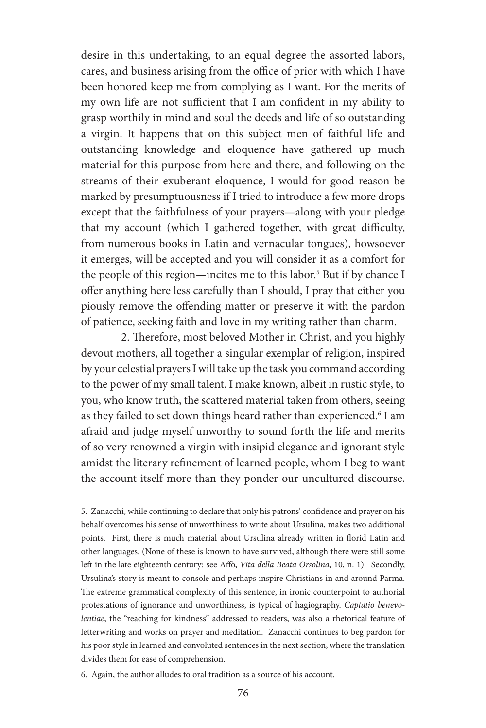desire in this undertaking, to an equal degree the assorted labors, cares, and business arising from the office of prior with which I have been honored keep me from complying as I want. For the merits of my own life are not sufficient that I am confident in my ability to grasp worthily in mind and soul the deeds and life of so outstanding a virgin. It happens that on this subject men of faithful life and outstanding knowledge and eloquence have gathered up much material for this purpose from here and there, and following on the streams of their exuberant eloquence, I would for good reason be marked by presumptuousness if I tried to introduce a few more drops except that the faithfulness of your prayers—along with your pledge that my account (which I gathered together, with great difficulty, from numerous books in Latin and vernacular tongues), howsoever it emerges, will be accepted and you will consider it as a comfort for the people of this region—incites me to this labor.<sup>5</sup> But if by chance I offer anything here less carefully than I should, I pray that either you piously remove the offending matter or preserve it with the pardon of patience, seeking faith and love in my writing rather than charm.

2. Therefore, most beloved Mother in Christ, and you highly devout mothers, all together a singular exemplar of religion, inspired by your celestial prayers I will take up the task you command according to the power of my small talent. I make known, albeit in rustic style, to you, who know truth, the scattered material taken from others, seeing as they failed to set down things heard rather than experienced.<sup>6</sup> I am afraid and judge myself unworthy to sound forth the life and merits of so very renowned a virgin with insipid elegance and ignorant style amidst the literary refinement of learned people, whom I beg to want the account itself more than they ponder our uncultured discourse.

5. Zanacchi, while continuing to declare that only his patrons' confidence and prayer on his behalf overcomes his sense of unworthiness to write about Ursulina, makes two additional points. First, there is much material about Ursulina already written in florid Latin and other languages. (None of these is known to have survived, although there were still some left in the late eighteenth century: see Affò, *Vita della Beata Orsolina*, 10, n. 1). Secondly, Ursulina's story is meant to console and perhaps inspire Christians in and around Parma. The extreme grammatical complexity of this sentence, in ironic counterpoint to authorial protestations of ignorance and unworthiness, is typical of hagiography. *Captatio benevolentiae*, the "reaching for kindness" addressed to readers, was also a rhetorical feature of letterwriting and works on prayer and meditation. Zanacchi continues to beg pardon for his poor style in learned and convoluted sentences in the next section, where the translation divides them for ease of comprehension.

6. Again, the author alludes to oral tradition as a source of his account.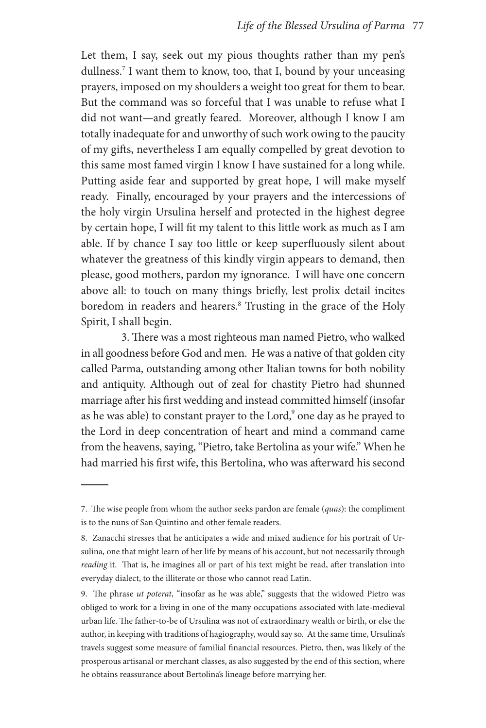Let them, I say, seek out my pious thoughts rather than my pen's dullness.7 I want them to know, too, that I, bound by your unceasing prayers, imposed on my shoulders a weight too great for them to bear. But the command was so forceful that I was unable to refuse what I did not want—and greatly feared. Moreover, although I know I am totally inadequate for and unworthy of such work owing to the paucity of my gifts, nevertheless I am equally compelled by great devotion to this same most famed virgin I know I have sustained for a long while. Putting aside fear and supported by great hope, I will make myself ready. Finally, encouraged by your prayers and the intercessions of the holy virgin Ursulina herself and protected in the highest degree by certain hope, I will fit my talent to this little work as much as I am able. If by chance I say too little or keep superfluously silent about whatever the greatness of this kindly virgin appears to demand, then please, good mothers, pardon my ignorance. I will have one concern above all: to touch on many things briefly, lest prolix detail incites boredom in readers and hearers.8 Trusting in the grace of the Holy Spirit, I shall begin.

3. There was a most righteous man named Pietro, who walked in all goodness before God and men. He was a native of that golden city called Parma, outstanding among other Italian towns for both nobility and antiquity. Although out of zeal for chastity Pietro had shunned marriage after his first wedding and instead committed himself (insofar as he was able) to constant prayer to the Lord, $9$  one day as he prayed to the Lord in deep concentration of heart and mind a command came from the heavens, saying, "Pietro, take Bertolina as your wife." When he had married his first wife, this Bertolina, who was afterward his second

<sup>7.</sup> The wise people from whom the author seeks pardon are female (*quas*): the compliment is to the nuns of San Quintino and other female readers.

<sup>8.</sup> Zanacchi stresses that he anticipates a wide and mixed audience for his portrait of Ursulina, one that might learn of her life by means of his account, but not necessarily through *reading* it. That is, he imagines all or part of his text might be read, after translation into everyday dialect, to the illiterate or those who cannot read Latin.

<sup>9.</sup> The phrase *ut poterat*, "insofar as he was able," suggests that the widowed Pietro was obliged to work for a living in one of the many occupations associated with late-medieval urban life. The father-to-be of Ursulina was not of extraordinary wealth or birth, or else the author, in keeping with traditions of hagiography, would say so. At the same time, Ursulina's travels suggest some measure of familial financial resources. Pietro, then, was likely of the prosperous artisanal or merchant classes, as also suggested by the end of this section, where he obtains reassurance about Bertolina's lineage before marrying her.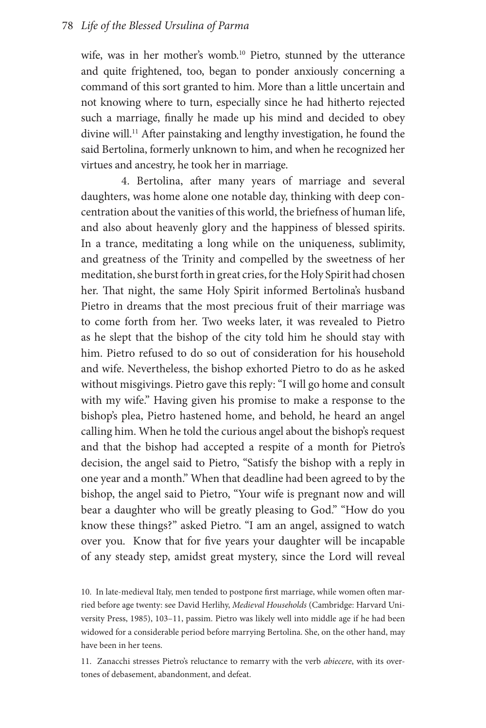wife, was in her mother's womb.<sup>10</sup> Pietro, stunned by the utterance and quite frightened, too, began to ponder anxiously concerning a command of this sort granted to him. More than a little uncertain and not knowing where to turn, especially since he had hitherto rejected such a marriage, finally he made up his mind and decided to obey divine will.<sup>11</sup> After painstaking and lengthy investigation, he found the said Bertolina, formerly unknown to him, and when he recognized her virtues and ancestry, he took her in marriage.

4. Bertolina, after many years of marriage and several daughters, was home alone one notable day, thinking with deep concentration about the vanities of this world, the briefness of human life, and also about heavenly glory and the happiness of blessed spirits. In a trance, meditating a long while on the uniqueness, sublimity, and greatness of the Trinity and compelled by the sweetness of her meditation, she burst forth in great cries, for the Holy Spirit had chosen her. That night, the same Holy Spirit informed Bertolina's husband Pietro in dreams that the most precious fruit of their marriage was to come forth from her. Two weeks later, it was revealed to Pietro as he slept that the bishop of the city told him he should stay with him. Pietro refused to do so out of consideration for his household and wife. Nevertheless, the bishop exhorted Pietro to do as he asked without misgivings. Pietro gave this reply: "I will go home and consult with my wife." Having given his promise to make a response to the bishop's plea, Pietro hastened home, and behold, he heard an angel calling him. When he told the curious angel about the bishop's request and that the bishop had accepted a respite of a month for Pietro's decision, the angel said to Pietro, "Satisfy the bishop with a reply in one year and a month." When that deadline had been agreed to by the bishop, the angel said to Pietro, "Your wife is pregnant now and will bear a daughter who will be greatly pleasing to God." "How do you know these things?" asked Pietro. "I am an angel, assigned to watch over you. Know that for five years your daughter will be incapable of any steady step, amidst great mystery, since the Lord will reveal

10. In late-medieval Italy, men tended to postpone first marriage, while women often married before age twenty: see David Herlihy, *Medieval Households* (Cambridge: Harvard University Press, 1985), 103–11, passim. Pietro was likely well into middle age if he had been widowed for a considerable period before marrying Bertolina. She, on the other hand, may have been in her teens.

11. Zanacchi stresses Pietro's reluctance to remarry with the verb *abiecere*, with its overtones of debasement, abandonment, and defeat.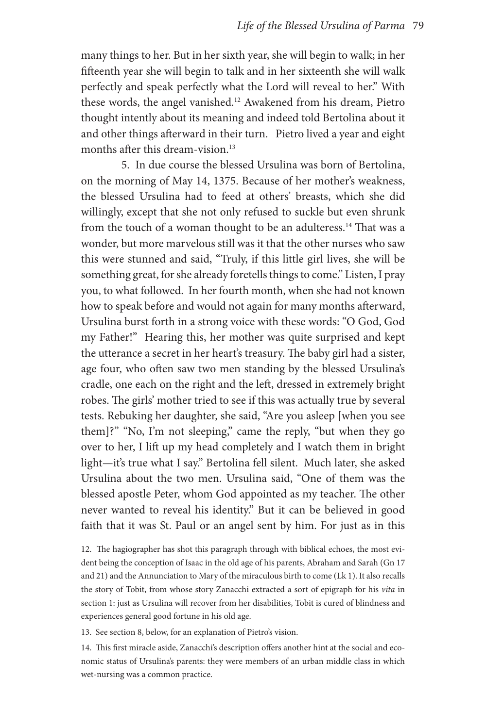many things to her. But in her sixth year, she will begin to walk; in her fifteenth year she will begin to talk and in her sixteenth she will walk perfectly and speak perfectly what the Lord will reveal to her." With these words, the angel vanished.<sup>12</sup> Awakened from his dream, Pietro thought intently about its meaning and indeed told Bertolina about it and other things afterward in their turn. Pietro lived a year and eight months after this dream-vision.<sup>13</sup>

5. In due course the blessed Ursulina was born of Bertolina, on the morning of May 14, 1375. Because of her mother's weakness, the blessed Ursulina had to feed at others' breasts, which she did willingly, except that she not only refused to suckle but even shrunk from the touch of a woman thought to be an adulteress.<sup>14</sup> That was a wonder, but more marvelous still was it that the other nurses who saw this were stunned and said, "Truly, if this little girl lives, she will be something great, for she already foretells things to come." Listen, I pray you, to what followed. In her fourth month, when she had not known how to speak before and would not again for many months afterward, Ursulina burst forth in a strong voice with these words: "O God, God my Father!" Hearing this, her mother was quite surprised and kept the utterance a secret in her heart's treasury. The baby girl had a sister, age four, who often saw two men standing by the blessed Ursulina's cradle, one each on the right and the left, dressed in extremely bright robes. The girls' mother tried to see if this was actually true by several tests. Rebuking her daughter, she said, "Are you asleep [when you see them]?" "No, I'm not sleeping," came the reply, "but when they go over to her, I lift up my head completely and I watch them in bright light—it's true what I say." Bertolina fell silent. Much later, she asked Ursulina about the two men. Ursulina said, "One of them was the blessed apostle Peter, whom God appointed as my teacher. The other never wanted to reveal his identity." But it can be believed in good faith that it was St. Paul or an angel sent by him. For just as in this

12. The hagiographer has shot this paragraph through with biblical echoes, the most evident being the conception of Isaac in the old age of his parents, Abraham and Sarah (Gn 17 and 21) and the Annunciation to Mary of the miraculous birth to come (Lk 1). It also recalls the story of Tobit, from whose story Zanacchi extracted a sort of epigraph for his *vita* in section 1: just as Ursulina will recover from her disabilities, Tobit is cured of blindness and experiences general good fortune in his old age.

13. See section 8, below, for an explanation of Pietro's vision.

14. This first miracle aside, Zanacchi's description offers another hint at the social and economic status of Ursulina's parents: they were members of an urban middle class in which wet-nursing was a common practice.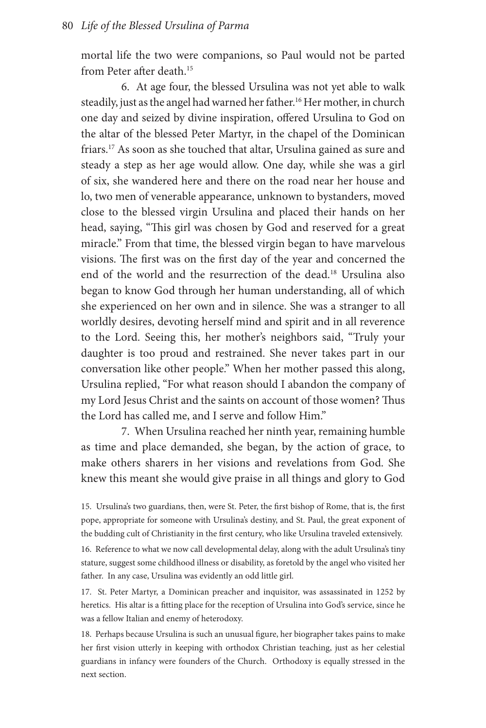mortal life the two were companions, so Paul would not be parted from Peter after death.<sup>15</sup>

6. At age four, the blessed Ursulina was not yet able to walk steadily, just as the angel had warned her father.<sup>16</sup> Her mother, in church one day and seized by divine inspiration, offered Ursulina to God on the altar of the blessed Peter Martyr, in the chapel of the Dominican friars.17 As soon as she touched that altar, Ursulina gained as sure and steady a step as her age would allow. One day, while she was a girl of six, she wandered here and there on the road near her house and lo, two men of venerable appearance, unknown to bystanders, moved close to the blessed virgin Ursulina and placed their hands on her head, saying, "This girl was chosen by God and reserved for a great miracle." From that time, the blessed virgin began to have marvelous visions. The first was on the first day of the year and concerned the end of the world and the resurrection of the dead.18 Ursulina also began to know God through her human understanding, all of which she experienced on her own and in silence. She was a stranger to all worldly desires, devoting herself mind and spirit and in all reverence to the Lord. Seeing this, her mother's neighbors said, "Truly your daughter is too proud and restrained. She never takes part in our conversation like other people." When her mother passed this along, Ursulina replied, "For what reason should I abandon the company of my Lord Jesus Christ and the saints on account of those women? Thus the Lord has called me, and I serve and follow Him."

7. When Ursulina reached her ninth year, remaining humble as time and place demanded, she began, by the action of grace, to make others sharers in her visions and revelations from God. She knew this meant she would give praise in all things and glory to God

15. Ursulina's two guardians, then, were St. Peter, the first bishop of Rome, that is, the first pope, appropriate for someone with Ursulina's destiny, and St. Paul, the great exponent of the budding cult of Christianity in the first century, who like Ursulina traveled extensively. 16. Reference to what we now call developmental delay, along with the adult Ursulina's tiny stature, suggest some childhood illness or disability, as foretold by the angel who visited her father. In any case, Ursulina was evidently an odd little girl.

17. St. Peter Martyr, a Dominican preacher and inquisitor, was assassinated in 1252 by heretics. His altar is a fitting place for the reception of Ursulina into God's service, since he was a fellow Italian and enemy of heterodoxy.

18. Perhaps because Ursulina is such an unusual figure, her biographer takes pains to make her first vision utterly in keeping with orthodox Christian teaching, just as her celestial guardians in infancy were founders of the Church. Orthodoxy is equally stressed in the next section.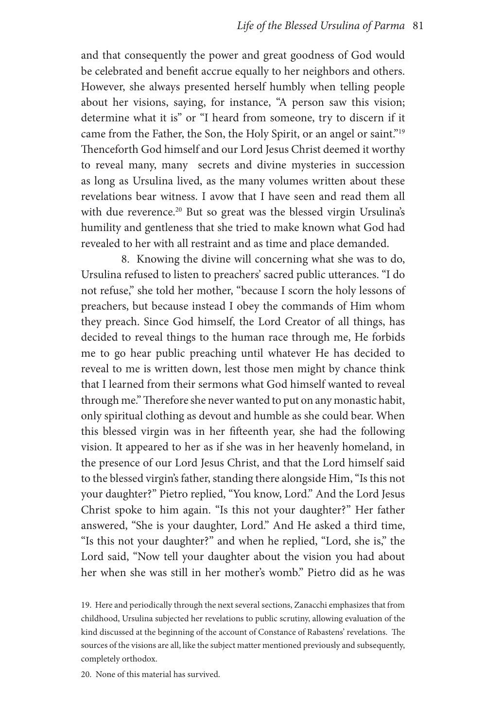and that consequently the power and great goodness of God would be celebrated and benefit accrue equally to her neighbors and others. However, she always presented herself humbly when telling people about her visions, saying, for instance, "A person saw this vision; determine what it is" or "I heard from someone, try to discern if it came from the Father, the Son, the Holy Spirit, or an angel or saint."19 Thenceforth God himself and our Lord Jesus Christ deemed it worthy to reveal many, many secrets and divine mysteries in succession as long as Ursulina lived, as the many volumes written about these revelations bear witness. I avow that I have seen and read them all with due reverence.<sup>20</sup> But so great was the blessed virgin Ursulina's humility and gentleness that she tried to make known what God had revealed to her with all restraint and as time and place demanded.

8. Knowing the divine will concerning what she was to do, Ursulina refused to listen to preachers' sacred public utterances. "I do not refuse," she told her mother, "because I scorn the holy lessons of preachers, but because instead I obey the commands of Him whom they preach. Since God himself, the Lord Creator of all things, has decided to reveal things to the human race through me, He forbids me to go hear public preaching until whatever He has decided to reveal to me is written down, lest those men might by chance think that I learned from their sermons what God himself wanted to reveal through me." Therefore she never wanted to put on any monastic habit, only spiritual clothing as devout and humble as she could bear. When this blessed virgin was in her fifteenth year, she had the following vision. It appeared to her as if she was in her heavenly homeland, in the presence of our Lord Jesus Christ, and that the Lord himself said to the blessed virgin's father, standing there alongside Him, "Is this not your daughter?" Pietro replied, "You know, Lord." And the Lord Jesus Christ spoke to him again. "Is this not your daughter?" Her father answered, "She is your daughter, Lord." And He asked a third time, "Is this not your daughter?" and when he replied, "Lord, she is," the Lord said, "Now tell your daughter about the vision you had about her when she was still in her mother's womb." Pietro did as he was

19. Here and periodically through the next several sections, Zanacchi emphasizes that from childhood, Ursulina subjected her revelations to public scrutiny, allowing evaluation of the kind discussed at the beginning of the account of Constance of Rabastens' revelations. The sources of the visions are all, like the subject matter mentioned previously and subsequently, completely orthodox.

20. None of this material has survived.